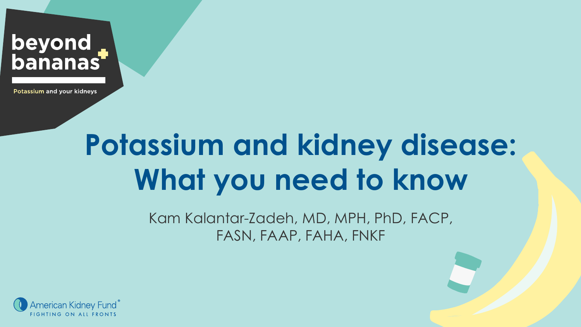

Potassium and your kidneys

# **Potassium and kidney disease: What you need to know**

Kam Kalantar-Zadeh, MD, MPH, PhD, FACP, FASN, FAAP, FAHA, FNKF

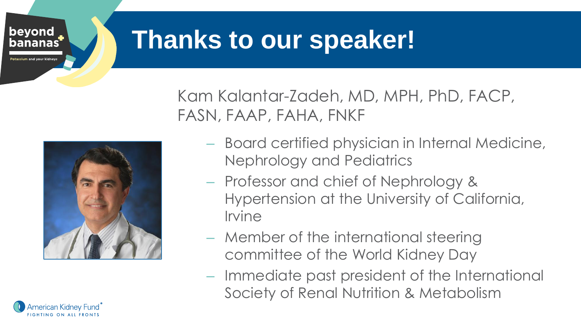

### **Thanks to our speaker!**

Kam Kalantar-Zadeh, MD, MPH, PhD, FACP, FASN, FAAP, FAHA, FNKF



merican Kidnev Fund`

– Board certified physician in Internal Medicine, Nephrology and Pediatrics

- Professor and chief of Nephrology & Hypertension at the University of California, Irvine
- Member of the international steering committee of the World Kidney Day
- Immediate past president of the International Society of Renal Nutrition & Metabolism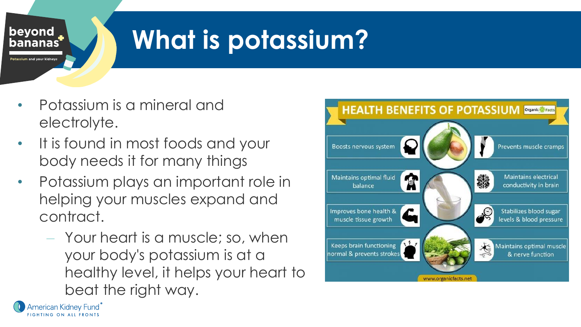

# **What is potassium?**

- Potassium is a mineral and electrolyte.
- It is found in most foods and your body needs it for many things
- Potassium plays an important role in helping your muscles expand and contract.
	- Your heart is a muscle; so, when your body's potassium is at a healthy level, it helps your heart to beat the right way.



American Kidney Fund` **FIGHTING ON ALL FRONTS**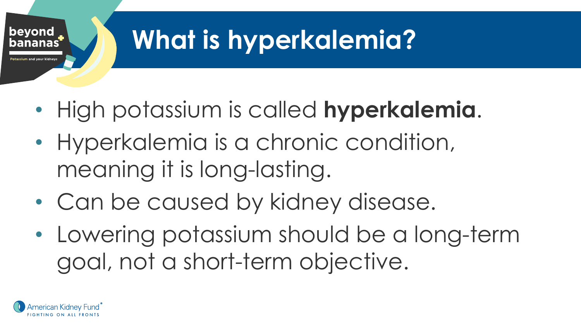

# **What is hyperkalemia?**

- High potassium is called **hyperkalemia**.
- Hyperkalemia is a chronic condition, meaning it is long-lasting.
- Can be caused by kidney disease.
- Lowering potassium should be a long-term goal, not a short-term objective.

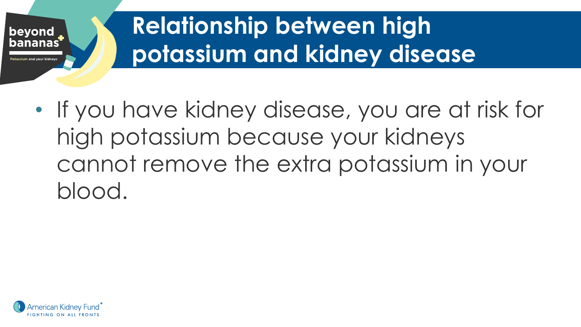

## **Relationship between high potassium and kidney disease**

• If you have kidney disease, you are at risk for high potassium because your kidneys cannot remove the extra potassium in your blood.

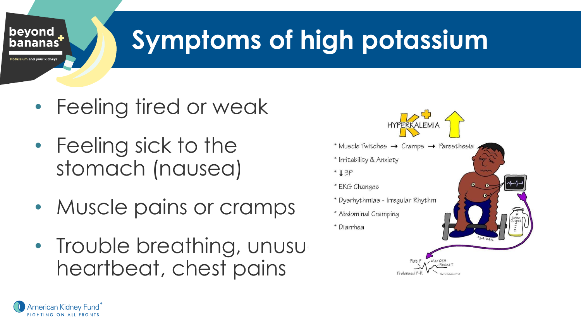# **Symptoms of high potassium**

- Feeling tired or weak
- Feeling sick to the stomach (nausea)

beyond **bananas** 

otassium and your kidney

American Kidney Fund<sup>"</sup> FIGHTING ON ALL FRONTS

- Muscle pains or cramps
- Trouble breathing, unusu heartbeat, chest pains

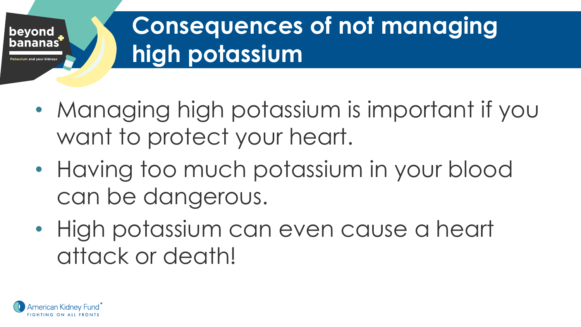

### **Consequences of not managing high potassium**

- Managing high potassium is important if you want to protect your heart.
- Having too much potassium in your blood can be dangerous.
- High potassium can even cause a heart attack or death!

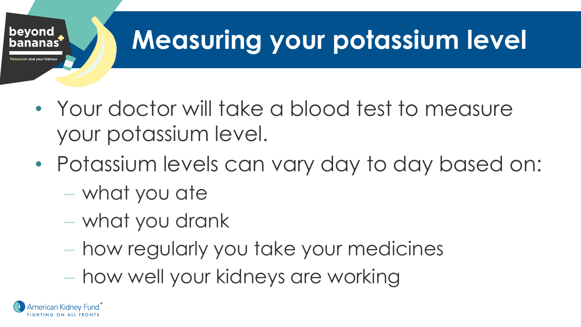

# **Measuring your potassium level**

- Your doctor will take a blood test to measure your potassium level.
- Potassium levels can vary day to day based on:
	- what you ate
	- what you drank
	- how regularly you take your medicines
	- how well your kidneys are working

ierican Kidnev Fund <sup>"</sup>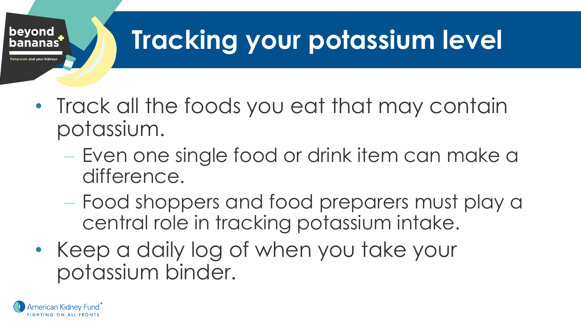

# **Tracking your potassium level**

- Track all the foods you eat that may contain potassium.
	- Even one single food or drink item can make a difference.
	- Food shoppers and food preparers must play a central role in tracking potassium intake.
- Keep a daily log of when you take your potassium binder.

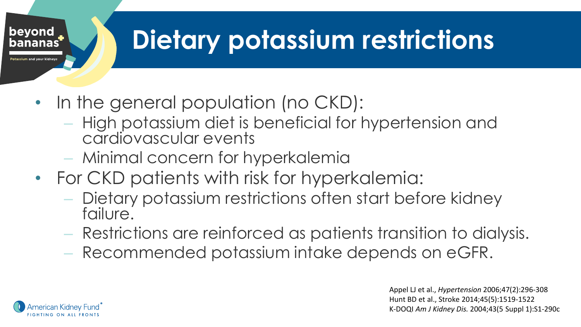# **Dietary potassium restrictions**

- In the general population (no CKD):
	- High potassium diet is beneficial for hypertension and cardiovascular events
	- Minimal concern for hyperkalemia
- For CKD patients with risk for hyperkalemia:
	- Dietary potassium restrictions often start before kidney failure.
	- Restrictions are reinforced as patients transition to dialysis.
	- Recommended potassium intake depends on eGFR.

Appel LJ et al., *Hypertension* 2006;47(2):296-308 Hunt BD et al., Stroke 2014;45(5):1519-1522 K-DOQI *Am J Kidney Dis.* 2004;43(5 Suppl 1):S1-290c



beyond **bananas** 

tassium and your kidney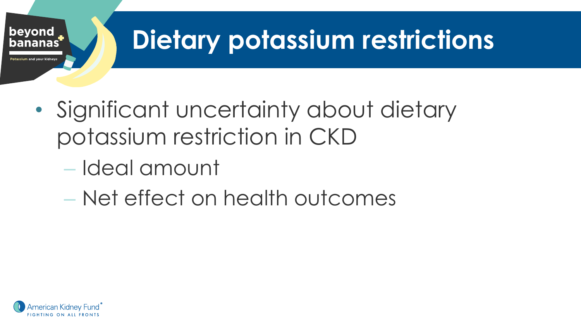

# **Dietary potassium restrictions**

- Significant uncertainty about dietary potassium restriction in CKD
	- Ideal amount
	- Net effect on health outcomes

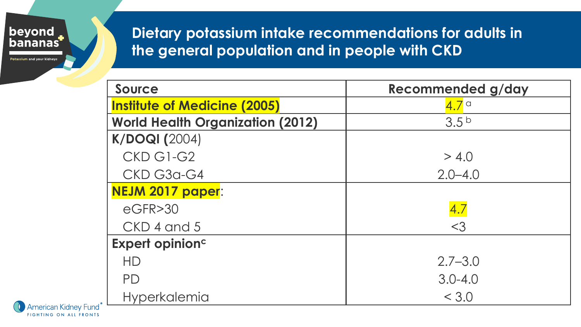

Potassium and your kidneys

### **Dietary potassium intake recommendations for adults in the general population and in people with CKD**

| <b>Source</b>                           | Recommended g/day |
|-----------------------------------------|-------------------|
| <b>Institute of Medicine (2005)</b>     | $4.7^\circ$       |
| <b>World Health Organization (2012)</b> | 3.5 <sup>b</sup>  |
| <b>K/DOQI (2004)</b>                    |                   |
| CKD G1-G2                               | > 4.0             |
| CKD G3a-G4                              | $2.0 - 4.0$       |
| NEJM 2017 paper:                        |                   |
| $e$ GFR $>$ 30                          | 4.7               |
| CKD 4 and 5                             | $<$ 3             |
| Expert opinion <sup>c</sup>             |                   |
| HD                                      | $2.7 - 3.0$       |
| <b>PD</b>                               | $3.0 - 4.0$       |
| <b>Hyperkalemia</b>                     | < 3.0             |

American Kidney Fund<sup>®</sup> FIGHTING ON ALL FRONTS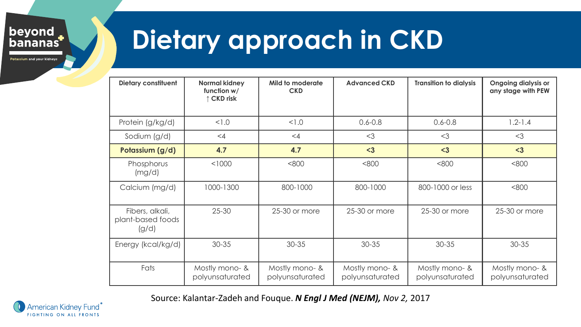beyond<br>bananas

Potassium and your kidneys

## **Dietary approach in CKD**

| <b>Dietary constituent</b>                    | <b>Normal kidney</b><br>function w/<br>↑ CKD risk | Mild to moderate<br><b>CKD</b>    | <b>Advanced CKD</b>               | <b>Transition to dialysis</b>     | <b>Ongoing dialysis or</b><br>any stage with PEW |
|-----------------------------------------------|---------------------------------------------------|-----------------------------------|-----------------------------------|-----------------------------------|--------------------------------------------------|
| Protein (g/kg/d)                              | < 1.0                                             | 1.0                               | $0.6 - 0.8$                       | $0.6 - 0.8$                       | $1.2 - 1.4$                                      |
| Sodium (g/d)                                  | $\leq 4$                                          | $\leq 4$                          | $<$ 3                             | $<$ 3                             | $<$ 3                                            |
| Potassium (g/d)                               | 4.7                                               | 4.7                               | $3$                               | $3$                               | $3$                                              |
| Phosphorus<br>(mg/d)                          | < 1000                                            | <800                              | <800                              | <800                              | <800                                             |
| Calcium (mg/d)                                | 1000-1300                                         | 800-1000                          | 800-1000                          | 800-1000 or less                  | <800                                             |
| Fibers, alkali,<br>plant-based foods<br>(g/d) | $25 - 30$                                         | 25-30 or more                     | 25-30 or more                     | 25-30 or more                     | 25-30 or more                                    |
| Energy (kcal/kg/d)                            | 30-35                                             | $30 - 35$                         | $30 - 35$                         | 30-35                             | 30-35                                            |
| Fats                                          | Mostly mono- &<br>polyunsaturated                 | Mostly mono- &<br>polyunsaturated | Mostly mono- &<br>polyunsaturated | Mostly mono- &<br>polyunsaturated | Mostly mono- &<br>polyunsaturated                |

Source: Kalantar-Zadeh and Fouque. *N Engl J Med (NEJM), Nov 2,* 2017

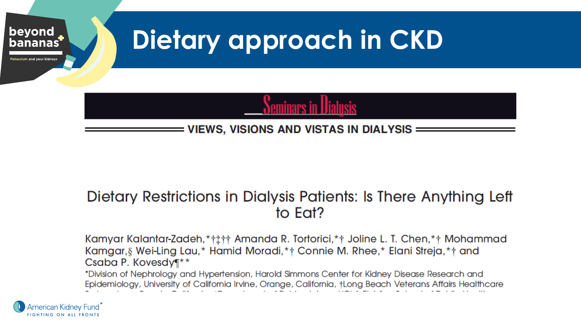

### Dietary Restrictions in Dialysis Patients: Is There Anything Left to Eat?

Kamyar Kalantar-Zadeh, \* † 1 + † Amanda R. Tortorici, \* + Joline L. T. Chen, \* + Mohammad Kamgar, § Wei-Ling Lau,\* Hamid Moradi,\*† Connie M. Rhee,\* Elani Streja,\*† and Csaba P. Kovesdy¶\*\*

\*Division of Nephrology and Hypertension, Harold Simmons Center for Kidney Disease Research and Epidemiology, University of California Irvine, Orange, California, †Long Beach Veterans Affairs Healthcare

American Kidney Fund` **FIGHTING ON ALL FRONTS**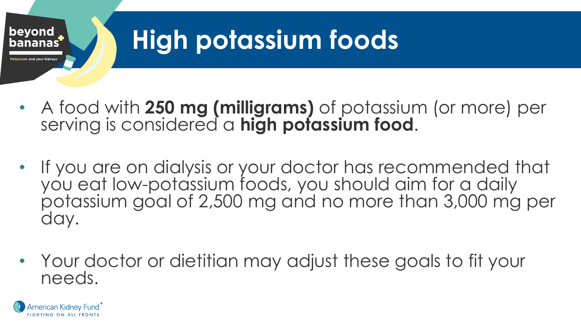

# **High potassium foods**

- A food with **250 mg (milligrams)** of potassium (or more) per serving is considered a **high potassium food**.
- If you are on dialysis or your doctor has recommended that you eat low-potassium foods, you should aim for a daily potassium goal of 2,500 mg and no more than 3,000 mg per day.
- Your doctor or dietitian may adjust these goals to fit your needs.

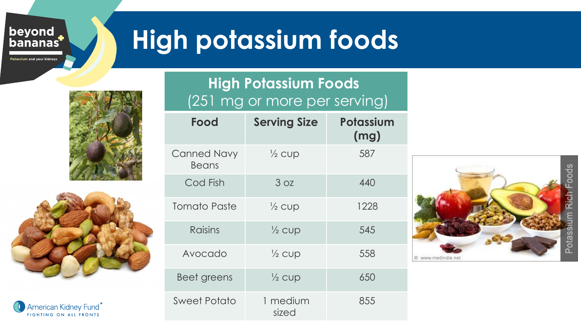beyond<br>bananas

Potassium and your kidneys

## **High potassium foods**





American Kidney Fund® FIGHTING ON ALL FRONTS

### **High Potassium Foods** (251 mg or more per serving)

| Food                               | <b>Serving Size</b> | Potassium<br>(mg) |
|------------------------------------|---------------------|-------------------|
| <b>Canned Navy</b><br><b>Beans</b> | $\frac{1}{2}$ CUD   | 587               |
| Cod Fish                           | 3 oz                | 440               |
| Tomato Paste                       | $\frac{1}{2}$ cup   | 1228              |
| Raisins                            | $\frac{1}{2}$ CUD   | 545               |
| Avocado                            | $\frac{1}{2}$ CUD   | 558               |
| Beet greens                        | $\frac{1}{2}$ CUD   | 650               |
| <b>Sweet Potato</b>                | 1 medium<br>sized   | 855               |

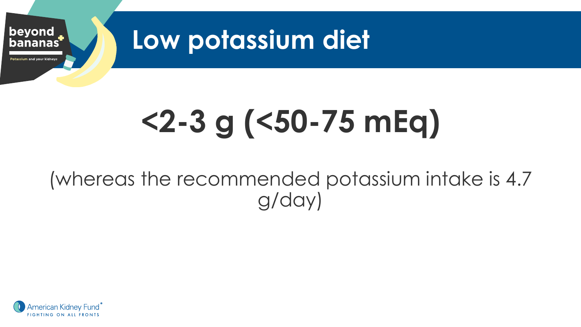

# **<2-3 g (<50-75 mEq)**

### (whereas the recommended potassium intake is 4.7 g/day)

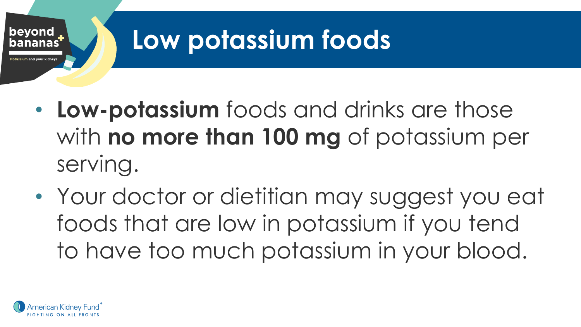

## **Low potassium foods**

- **Low-potassium** foods and drinks are those with **no more than 100 mg** of potassium per serving.
- Your doctor or dietitian may suggest you eat foods that are low in potassium if you tend to have too much potassium in your blood.

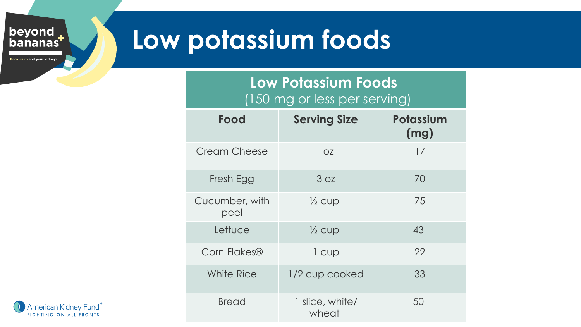### beyond<br>bananas

Potassium and your kidneys

### **Low potassium foods**

### **Low Potassium Foods** (150 mg or less per serving)

| Food                   | <b>Serving Size</b>      | Potassium<br>(mg) |
|------------------------|--------------------------|-------------------|
| <b>Cream Cheese</b>    | 1 oz                     | 17                |
| Fresh Egg              | 3 oz                     | 70                |
| Cucumber, with<br>peel | $\frac{1}{2}$ cup        | 75                |
| Lettuce                | $\frac{1}{2}$ cup        | 43                |
| Corn Flakes®           | 1 cup                    | 22                |
| White Rice             | 1/2 cup cooked           | 33                |
| <b>Bread</b>           | 1 slice, white/<br>wheat | 50                |

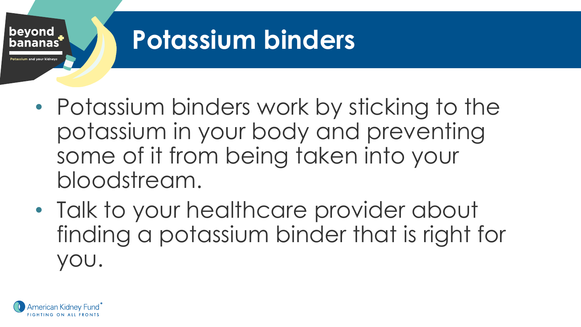

## **Potassium binders**

- Potassium binders work by sticking to the potassium in your body and preventing some of it from being taken into your bloodstream.
- Talk to your healthcare provider about finding a potassium binder that is right for you.

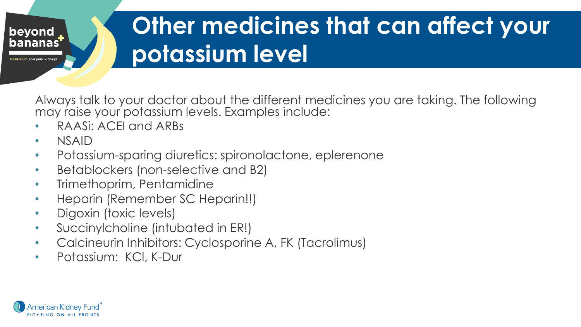

### **Other medicines that can affect your potassium level**

Always talk to your doctor about the different medicines you are taking. The following may raise your potassium levels. Examples include:

- RAASi: ACEI and ARBs
- NSAID
- Potassium-sparing diuretics: spironolactone, eplerenone
- Betablockers (non-selective and B2)
- Trimethoprim, Pentamidine
- Heparin (Remember SC Heparin!!)
- Digoxin (toxic levels)
- Succinylcholine (intubated in ER!)
- Calcineurin Inhibitors: Cyclosporine A, FK (Tacrolimus)
- Potassium: KCl, K-Dur

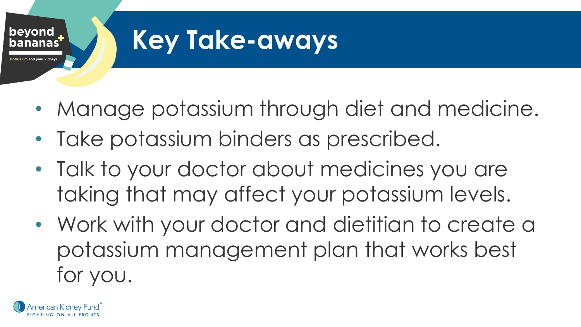

### **Key Take-aways**

- Manage potassium through diet and medicine.
- Take potassium binders as prescribed.
- Talk to your doctor about medicines you are taking that may affect your potassium levels.
- Work with your doctor and dietitian to create a potassium management plan that works best for you.

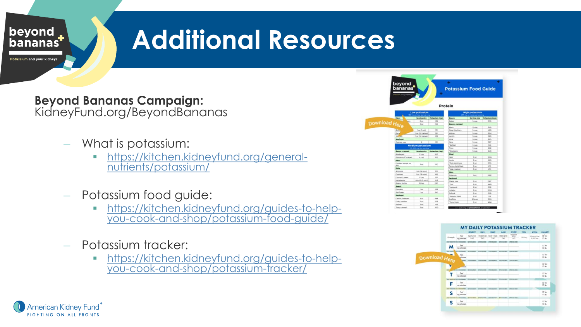

## **Additional Resources**

**Beyond Bananas Campaign:**  KidneyFund.org/BeyondBananas

- What is potassium:
	- [https://kitchen.kidneyfund.org/general](https://kitchen.kidneyfund.org/general-nutrients/potassium/)nutrients/potassium/
- Potassium food guide:
	- **Intrade https://kitchen.kidneyfund.org/guides-to-help**[you-cook-and-shop/potassium-food-guide/](https://kitchen.kidneyfund.org/guides-to-help-you-cook-and-shop/potassium-food-guide/)
- Potassium tracker:
	- [https://kitchen.kidneyfund.org/guides-to-help](https://kitchen.kidneyfund.org/guides-to-help-you-cook-and-shop/potassium-tracker/)you-cook-and-shop/potassium-tracker/

|             | beyond<br>bananas     |                             | ٠                     | <b>Potassium Food Guide</b><br>Protein |                     |                       |
|-------------|-----------------------|-----------------------------|-----------------------|----------------------------------------|---------------------|-----------------------|
|             |                       | <b>Low potassium</b>        |                       | <b>High potassium</b>                  |                     |                       |
|             |                       | <b>Carried Court Avenue</b> |                       |                                        |                     |                       |
|             | <b>Heat</b>           | Serving size                | <b>Potassium (mg)</b> | Beans                                  | <b>Serving size</b> | <b>Potacolum (mg)</b> |
|             |                       | 3 or                        | 133                   | Bulletin                               | To strate           | 1N                    |
| wnload Here |                       | 3-ps                        | 150                   | <b>Beans</b> , canned                  |                     |                       |
|             |                       |                             |                       | <b>Stark</b>                           | 16 miles            | <b>SOR</b>            |
|             | Dra.)                 | T-ox (1 mult)               | 22                    | Genal Nowthern                         | To cust             | $450 - 150$           |
|             | Peca                  | 7 no (20 halves)            | 166                   | Kidney                                 | To credi-           | 254                   |
|             | <b>WARRANT</b>        | 1 out (54 halves)           | 125                   | Lentils                                | To mode             | 365                   |
|             | Seafood               |                             |                       | Lima                                   | To cruze            | 265                   |
|             | Outdate, new          | ä                           | 12                    | Renty                                  | % cup               | say                   |
|             |                       | <b>Medium potassium</b>     |                       | *Refried                               | to map              | 5.85                  |
|             |                       | SI-250 mig per serving      |                       | Director                               | % top               | 292                   |
|             | Baans, canned         | <b>Sarving size</b>         | <b>Potassium (mg)</b> | <b><i>Thousand</i></b>                 | To chap-            | 643                   |
|             | <b>Backmad</b>        | <b>N</b> Cutt               | 207                   | <b>Meat</b>                            |                     |                       |
|             | Gorbanne/Chicknes     | <b>N</b> curti              | 201                   | <b>Ham</b>                             | 5 <sup>o</sup>      | <b>Mdd</b>            |
|             | <b>Maat</b>           |                             |                       | Lamb                                   | $1 -$               | 203                   |
|             | Chicken breast, no    | X Av                        | 320                   | <b>This basiling</b>                   | 3.00                | 120                   |
|             | skin.                 |                             |                       | Turkini, Tuht/Itark                    | $3 - 14$            | 20                    |
|             | Nuts                  |                             |                       | Tekel, roadiad                         | 5.64                | 250                   |
|             | Aimondo               | 1 or (24 rote)              | 20 <sup>2</sup>       | Norte                                  |                     |                       |
|             | Continue              | 1 or (W-num)                | <b>Mid</b>            | <b>Platachie</b>                       | 144                 | 295                   |
|             | Coconut, swist        | <b>N</b> cup                | 157                   | Seafood                                |                     |                       |
|             | Macademia             | Tel: 05-12 (s/s)            | <b>YOS</b>            | Claris, raw                            | 3 64                | 241                   |
|             | <b>Pears 4 butter</b> | $2$ these                   | 230                   | $22-4$                                 | $3 -$               | 440                   |
|             | <b>Seeds</b>          |                             |                       | This printers in                       | 24                  | <b>TRA</b>            |
|             | Pursuius              | $1 +$                       | 229                   | Lobeber                                | 240                 | 350                   |
|             | Sanfiguer             | Top                         | 541                   | Policie                                | 3 to                | 3.29                  |
|             | Seafood               |                             |                       | "Salmon, Really                        | 3.68                | 226                   |
|             | Cathon, brasiled      | 348                         | 289                   | Scables                                | 6 large             | too                   |
|             | Crob, Alaskan         | $3-10$                      | 221                   | *Suna, Reals                           | $3 - 4$             | 454                   |
|             | Shrimp                | R.me                        | 155                   |                                        |                     |                       |



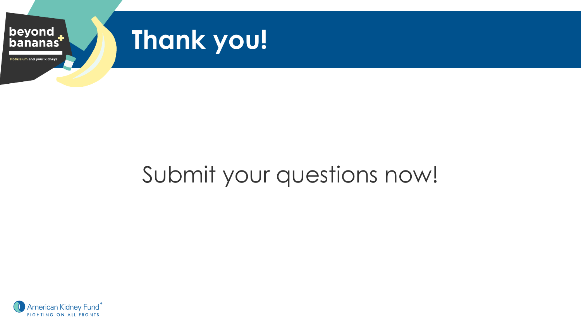

### Submit your questions now!